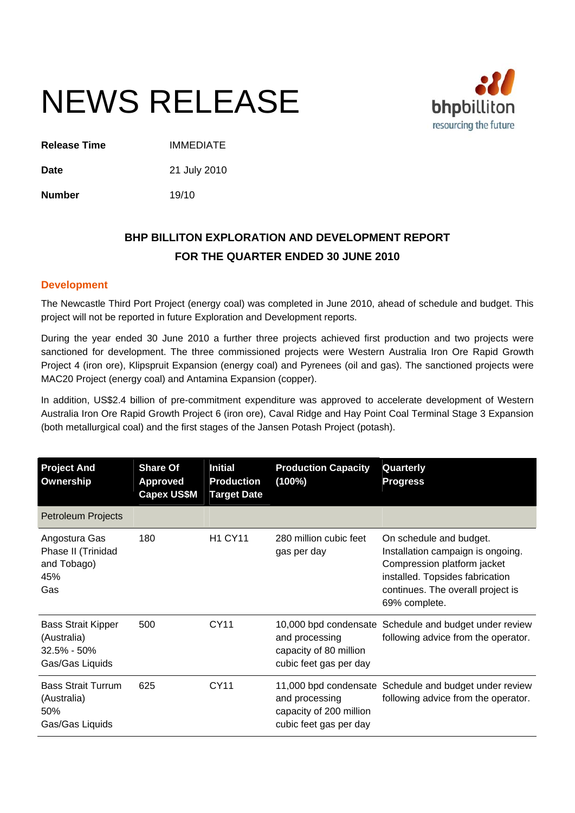# NEWS RELEASE



**Release Time** IMMEDIATE

**Date** 21 July 2010

**Number** 19/10

## **BHP BILLITON EXPLORATION AND DEVELOPMENT REPORT FOR THE QUARTER ENDED 30 JUNE 2010**

## **Development**

The Newcastle Third Port Project (energy coal) was completed in June 2010, ahead of schedule and budget. This project will not be reported in future Exploration and Development reports.

During the year ended 30 June 2010 a further three projects achieved first production and two projects were sanctioned for development. The three commissioned projects were Western Australia Iron Ore Rapid Growth Project 4 (iron ore), Klipspruit Expansion (energy coal) and Pyrenees (oil and gas). The sanctioned projects were MAC20 Project (energy coal) and Antamina Expansion (copper).

In addition, US\$2.4 billion of pre-commitment expenditure was approved to accelerate development of Western Australia Iron Ore Rapid Growth Project 6 (iron ore), Caval Ridge and Hay Point Coal Terminal Stage 3 Expansion (both metallurgical coal) and the first stages of the Jansen Potash Project (potash).

| <b>Project And</b><br>Ownership                                                | <b>Share Of</b><br><b>Approved</b><br><b>Capex US\$M</b> | <b>Initial</b><br><b>Production</b><br><b>Target Date</b> | <b>Production Capacity</b><br>(100%)                                | Quarterly<br><b>Progress</b>                                                                                                                                                         |
|--------------------------------------------------------------------------------|----------------------------------------------------------|-----------------------------------------------------------|---------------------------------------------------------------------|--------------------------------------------------------------------------------------------------------------------------------------------------------------------------------------|
| <b>Petroleum Projects</b>                                                      |                                                          |                                                           |                                                                     |                                                                                                                                                                                      |
| Angostura Gas<br>Phase II (Trinidad<br>and Tobago)<br>45%<br>Gas               | 180                                                      | <b>H1 CY11</b>                                            | 280 million cubic feet<br>gas per day                               | On schedule and budget.<br>Installation campaign is ongoing.<br>Compression platform jacket<br>installed. Topsides fabrication<br>continues. The overall project is<br>69% complete. |
| <b>Bass Strait Kipper</b><br>(Australia)<br>$32.5\% - 50\%$<br>Gas/Gas Liquids | 500                                                      | <b>CY11</b>                                               | and processing<br>capacity of 80 million<br>cubic feet gas per day  | 10,000 bpd condensate Schedule and budget under review<br>following advice from the operator.                                                                                        |
| <b>Bass Strait Turrum</b><br>(Australia)<br>50%<br>Gas/Gas Liquids             | 625                                                      | CY11                                                      | and processing<br>capacity of 200 million<br>cubic feet gas per day | 11,000 bpd condensate Schedule and budget under review<br>following advice from the operator.                                                                                        |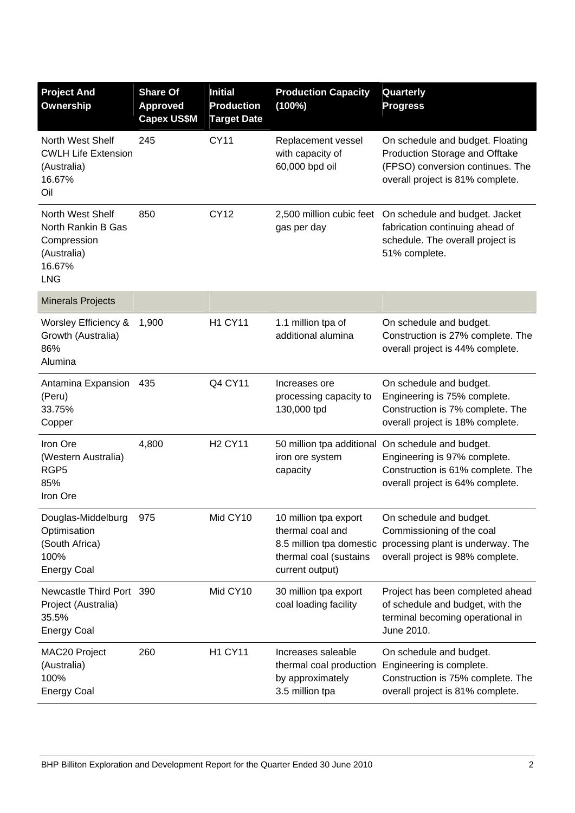| <b>Project And</b><br><b>Ownership</b>                                                       | <b>Share Of</b><br><b>Approved</b><br><b>Capex US\$M</b> | <b>Initial</b><br><b>Production</b><br><b>Target Date</b> | <b>Production Capacity</b><br>(100%)                                                                               | Quarterly<br><b>Progress</b>                                                                                                                               |
|----------------------------------------------------------------------------------------------|----------------------------------------------------------|-----------------------------------------------------------|--------------------------------------------------------------------------------------------------------------------|------------------------------------------------------------------------------------------------------------------------------------------------------------|
| North West Shelf<br><b>CWLH Life Extension</b><br>(Australia)<br>16.67%<br>Oil               | 245                                                      | <b>CY11</b>                                               | Replacement vessel<br>with capacity of<br>60,000 bpd oil                                                           | On schedule and budget. Floating<br>Production Storage and Offtake<br>(FPSO) conversion continues. The<br>overall project is 81% complete.                 |
| North West Shelf<br>North Rankin B Gas<br>Compression<br>(Australia)<br>16.67%<br><b>LNG</b> | 850                                                      | <b>CY12</b>                                               | 2,500 million cubic feet<br>gas per day                                                                            | On schedule and budget. Jacket<br>fabrication continuing ahead of<br>schedule. The overall project is<br>51% complete.                                     |
| <b>Minerals Projects</b>                                                                     |                                                          |                                                           |                                                                                                                    |                                                                                                                                                            |
| Worsley Efficiency &<br>Growth (Australia)<br>86%<br>Alumina                                 | 1,900                                                    | <b>H1 CY11</b>                                            | 1.1 million tpa of<br>additional alumina                                                                           | On schedule and budget.<br>Construction is 27% complete. The<br>overall project is 44% complete.                                                           |
| Antamina Expansion<br>(Peru)<br>33.75%<br>Copper                                             | 435                                                      | Q4 CY11                                                   | Increases ore<br>processing capacity to<br>130,000 tpd                                                             | On schedule and budget.<br>Engineering is 75% complete.<br>Construction is 7% complete. The<br>overall project is 18% complete.                            |
| Iron Ore<br>(Western Australia)<br>RGP <sub>5</sub><br>85%<br>Iron Ore                       | 4,800                                                    | <b>H2 CY11</b>                                            | iron ore system<br>capacity                                                                                        | 50 million tpa additional On schedule and budget.<br>Engineering is 97% complete.<br>Construction is 61% complete. The<br>overall project is 64% complete. |
| Douglas-Middelburg<br>Optimisation<br>(South Africa)<br>100%<br><b>Energy Coal</b>           | 975                                                      | Mid CY10                                                  | 10 million tpa export<br>thermal coal and<br>8.5 million tpa domestic<br>thermal coal (sustains<br>current output) | On schedule and budget.<br>Commissioning of the coal<br>processing plant is underway. The<br>overall project is 98% complete.                              |
| Newcastle Third Port 390<br>Project (Australia)<br>35.5%<br><b>Energy Coal</b>               |                                                          | Mid CY10                                                  | 30 million tpa export<br>coal loading facility                                                                     | Project has been completed ahead<br>of schedule and budget, with the<br>terminal becoming operational in<br>June 2010.                                     |
| MAC20 Project<br>(Australia)<br>100%<br><b>Energy Coal</b>                                   | 260                                                      | <b>H1 CY11</b>                                            | Increases saleable<br>thermal coal production<br>by approximately<br>3.5 million tpa                               | On schedule and budget.<br>Engineering is complete.<br>Construction is 75% complete. The<br>overall project is 81% complete.                               |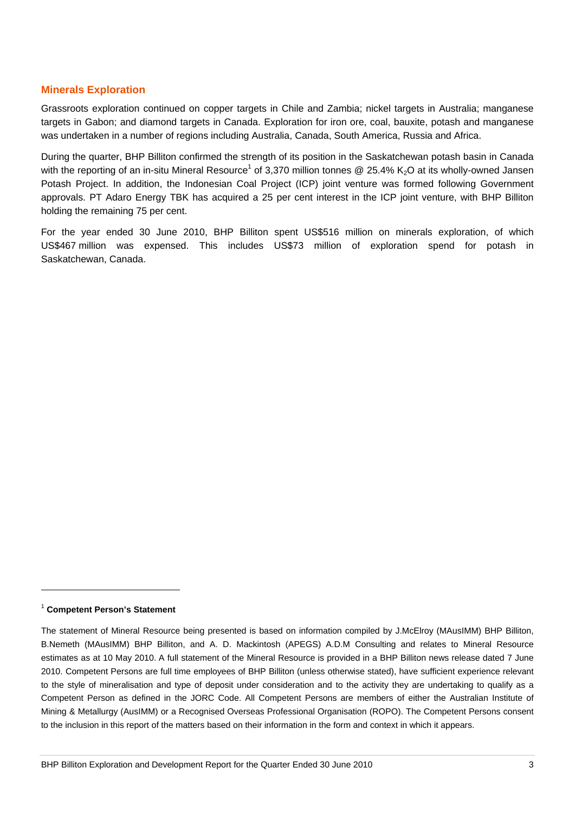## **Minerals Exploration**

Grassroots exploration continued on copper targets in Chile and Zambia; nickel targets in Australia; manganese targets in Gabon; and diamond targets in Canada. Exploration for iron ore, coal, bauxite, potash and manganese was undertaken in a number of regions including Australia, Canada, South America, Russia and Africa.

During the quarter, BHP Billiton confirmed the strength of its position in the Saskatchewan potash basin in Canada with the reporting of an in-situ Mineral Resource<sup>1</sup> of 3,370 million tonnes @ 25.4% K<sub>2</sub>O at its wholly-owned Jansen Potash Project. In addition, the Indonesian Coal Project (ICP) joint venture was formed following Government approvals. PT Adaro Energy TBK has acquired a 25 per cent interest in the ICP joint venture, with BHP Billiton holding the remaining 75 per cent.

For the year ended 30 June 2010, BHP Billiton spent US\$516 million on minerals exploration, of which US\$467 million was expensed. This includes US\$73 million of exploration spend for potash in Saskatchewan, Canada.

### <sup>1</sup> **Competent Person's Statement**

 $\overline{a}$ 

The statement of Mineral Resource being presented is based on information compiled by J.McElroy (MAusIMM) BHP Billiton, B.Nemeth (MAusIMM) BHP Billiton, and A. D. Mackintosh (APEGS) A.D.M Consulting and relates to Mineral Resource estimates as at 10 May 2010. A full statement of the Mineral Resource is provided in a BHP Billiton news release dated 7 June 2010. Competent Persons are full time employees of BHP Billiton (unless otherwise stated), have sufficient experience relevant to the style of mineralisation and type of deposit under consideration and to the activity they are undertaking to qualify as a Competent Person as defined in the JORC Code. All Competent Persons are members of either the Australian Institute of Mining & Metallurgy (AusIMM) or a Recognised Overseas Professional Organisation (ROPO). The Competent Persons consent to the inclusion in this report of the matters based on their information in the form and context in which it appears.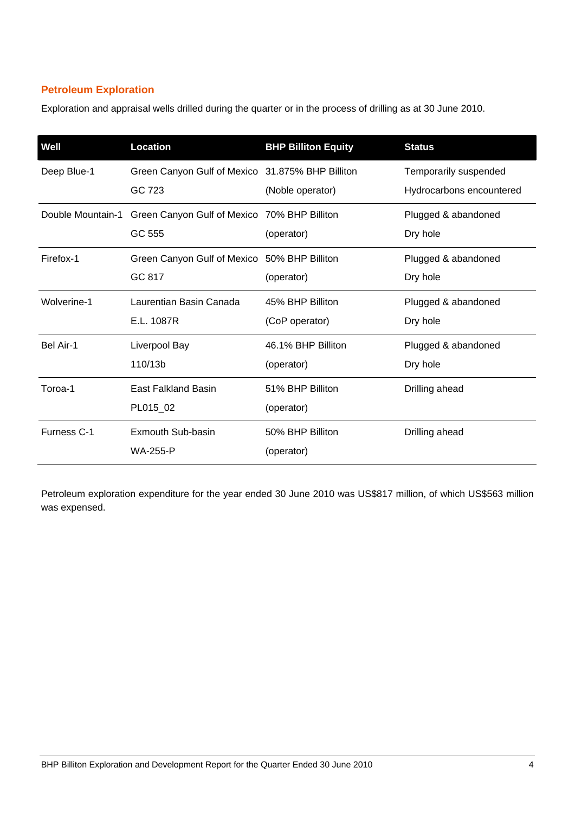## **Petroleum Exploration**

Exploration and appraisal wells drilled during the quarter or in the process of drilling as at 30 June 2010.

| Well               | Location                                                   | <b>BHP Billiton Equity</b>         | <b>Status</b>                                     |
|--------------------|------------------------------------------------------------|------------------------------------|---------------------------------------------------|
| Deep Blue-1        | Green Canyon Gulf of Mexico 31.875% BHP Billiton<br>GC 723 | (Noble operator)                   | Temporarily suspended<br>Hydrocarbons encountered |
| Double Mountain-1  | Green Canyon Gulf of Mexico 70% BHP Billiton<br>GC 555     | (operator)                         | Plugged & abandoned<br>Dry hole                   |
| Firefox-1          | Green Canyon Gulf of Mexico 50% BHP Billiton<br>GC 817     | (operator)                         | Plugged & abandoned<br>Dry hole                   |
| Wolverine-1        | Laurentian Basin Canada<br>E.L. 1087R                      | 45% BHP Billiton<br>(CoP operator) | Plugged & abandoned<br>Dry hole                   |
| Bel Air-1          | Liverpool Bay<br>110/13b                                   | 46.1% BHP Billiton<br>(operator)   | Plugged & abandoned<br>Dry hole                   |
| Toroa-1            | <b>East Falkland Basin</b><br>PL015_02                     | 51% BHP Billiton<br>(operator)     | Drilling ahead                                    |
| <b>Furness C-1</b> | Exmouth Sub-basin<br><b>WA-255-P</b>                       | 50% BHP Billiton<br>(operator)     | Drilling ahead                                    |

Petroleum exploration expenditure for the year ended 30 June 2010 was US\$817 million, of which US\$563 million was expensed.